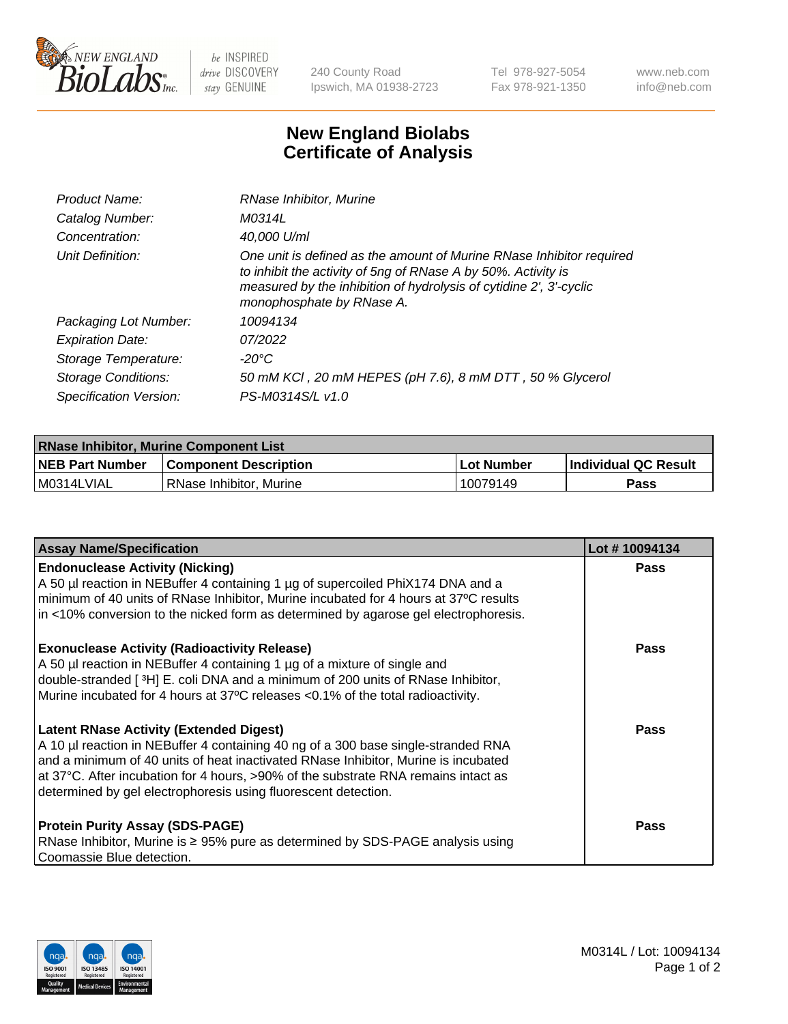

 $be$  INSPIRED drive DISCOVERY stay GENUINE

240 County Road Ipswich, MA 01938-2723 Tel 978-927-5054 Fax 978-921-1350 www.neb.com info@neb.com

## **New England Biolabs Certificate of Analysis**

| Product Name:           | RNase Inhibitor, Murine                                                                                                                                                                                                                  |
|-------------------------|------------------------------------------------------------------------------------------------------------------------------------------------------------------------------------------------------------------------------------------|
| Catalog Number:         | M0314L                                                                                                                                                                                                                                   |
| Concentration:          | 40,000 U/ml                                                                                                                                                                                                                              |
| Unit Definition:        | One unit is defined as the amount of Murine RNase Inhibitor required<br>to inhibit the activity of 5ng of RNase A by 50%. Activity is<br>measured by the inhibition of hydrolysis of cytidine 2', 3'-cyclic<br>monophosphate by RNase A. |
| Packaging Lot Number:   | 10094134                                                                                                                                                                                                                                 |
| <b>Expiration Date:</b> | 07/2022                                                                                                                                                                                                                                  |
| Storage Temperature:    | -20°C                                                                                                                                                                                                                                    |
| Storage Conditions:     | 50 mM KCI, 20 mM HEPES (pH 7.6), 8 mM DTT, 50 % Glycerol                                                                                                                                                                                 |
| Specification Version:  | PS-M0314S/L v1.0                                                                                                                                                                                                                         |

| <b>RNase Inhibitor, Murine Component List</b> |                              |                   |                             |  |
|-----------------------------------------------|------------------------------|-------------------|-----------------------------|--|
| <b>NEB Part Number</b>                        | <b>Component Description</b> | <b>Lot Number</b> | <b>Individual QC Result</b> |  |
| M0314LVIAL                                    | l RNase Inhibitor. Murine    | 10079149          | <b>Pass</b>                 |  |

| <b>Assay Name/Specification</b>                                                                                                                                                                                                                                                                                                                                                   | Lot #10094134 |
|-----------------------------------------------------------------------------------------------------------------------------------------------------------------------------------------------------------------------------------------------------------------------------------------------------------------------------------------------------------------------------------|---------------|
| <b>Endonuclease Activity (Nicking)</b><br>A 50 µl reaction in NEBuffer 4 containing 1 µg of supercoiled PhiX174 DNA and a<br>minimum of 40 units of RNase Inhibitor, Murine incubated for 4 hours at 37°C results<br>in <10% conversion to the nicked form as determined by agarose gel electrophoresis.                                                                          | Pass          |
| <b>Exonuclease Activity (Radioactivity Release)</b><br>A 50 µl reaction in NEBuffer 4 containing 1 µg of a mixture of single and<br>double-stranded [3H] E. coli DNA and a minimum of 200 units of RNase Inhibitor,<br>Murine incubated for 4 hours at 37°C releases <0.1% of the total radioactivity.                                                                            | <b>Pass</b>   |
| <b>Latent RNase Activity (Extended Digest)</b><br>A 10 µl reaction in NEBuffer 4 containing 40 ng of a 300 base single-stranded RNA<br>and a minimum of 40 units of heat inactivated RNase Inhibitor, Murine is incubated<br>at 37°C. After incubation for 4 hours, >90% of the substrate RNA remains intact as<br>determined by gel electrophoresis using fluorescent detection. | <b>Pass</b>   |
| <b>Protein Purity Assay (SDS-PAGE)</b><br>RNase Inhibitor, Murine is ≥ 95% pure as determined by SDS-PAGE analysis using<br>Coomassie Blue detection.                                                                                                                                                                                                                             | <b>Pass</b>   |